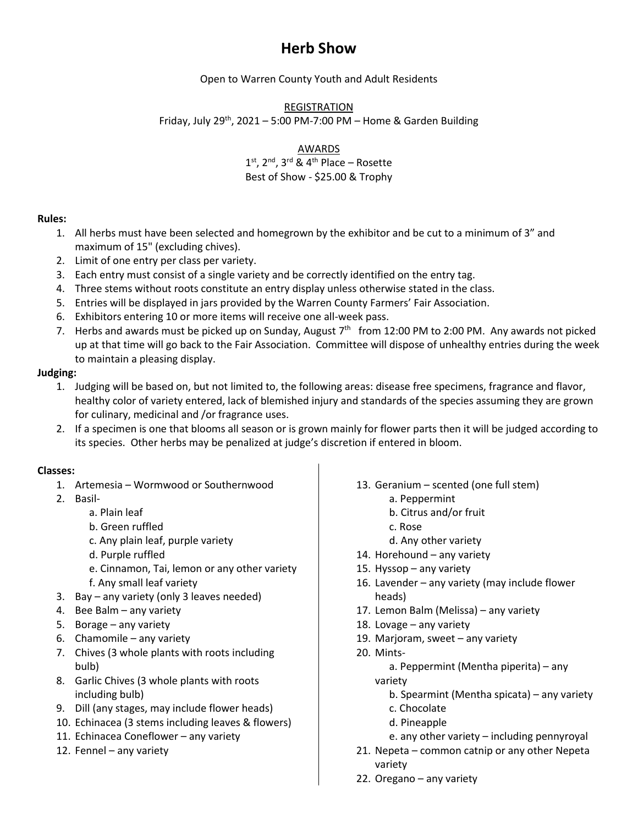## **Herb Show**

Open to Warren County Youth and Adult Residents

REGISTRATION

Friday, July 29<sup>th</sup>, 2021 – 5:00 PM-7:00 PM – Home & Garden Building

AWARDS

 $1<sup>st</sup>$ ,  $2<sup>nd</sup>$ ,  $3<sup>rd</sup>$  &  $4<sup>th</sup>$  Place – Rosette Best of Show - \$25.00 & Trophy

## **Rules:**

- 1. All herbs must have been selected and homegrown by the exhibitor and be cut to a minimum of 3" and maximum of 15" (excluding chives).
- 2. Limit of one entry per class per variety.
- 3. Each entry must consist of a single variety and be correctly identified on the entry tag.
- 4. Three stems without roots constitute an entry display unless otherwise stated in the class.
- 5. Entries will be displayed in jars provided by the Warren County Farmers' Fair Association.
- 6. Exhibitors entering 10 or more items will receive one all-week pass.
- 7. Herbs and awards must be picked up on Sunday, August  $7<sup>th</sup>$  from 12:00 PM to 2:00 PM. Any awards not picked up at that time will go back to the Fair Association. Committee will dispose of unhealthy entries during the week to maintain a pleasing display.

## **Judging:**

- 1. Judging will be based on, but not limited to, the following areas: disease free specimens, fragrance and flavor, healthy color of variety entered, lack of blemished injury and standards of the species assuming they are grown for culinary, medicinal and /or fragrance uses.
- 2. If a specimen is one that blooms all season or is grown mainly for flower parts then it will be judged according to its species. Other herbs may be penalized at judge's discretion if entered in bloom.

## **Classes:**

- 1. Artemesia Wormwood or Southernwood
- 2. Basil
	- a. Plain leaf
	- b. Green ruffled
	- c. Any plain leaf, purple variety
	- d. Purple ruffled
	- e. Cinnamon, Tai, lemon or any other variety
	- f. Any small leaf variety
- 3. Bay any variety (only 3 leaves needed)
- 4. Bee Balm any variety
- 5. Borage any variety
- 6. Chamomile any variety
- 7. Chives (3 whole plants with roots including bulb)
- 8. Garlic Chives (3 whole plants with roots including bulb)
- 9. Dill (any stages, may include flower heads)
- 10. Echinacea (3 stems including leaves & flowers)
- 11. Echinacea Coneflower any variety
- 12. Fennel any variety
- 13. Geranium scented (one full stem)
	- a. Peppermint
	- b. Citrus and/or fruit
	- c. Rose
	- d. Any other variety
- 14. Horehound any variety
- 15. Hyssop any variety
- 16. Lavender any variety (may include flower heads)
- 17. Lemon Balm (Melissa) any variety
- 18. Lovage any variety
- 19. Marjoram, sweet any variety
- 20. Mintsa. Peppermint (Mentha piperita) – any variety
	- b. Spearmint (Mentha spicata) any variety
	- c. Chocolate
	- d. Pineapple
	- e. any other variety including pennyroyal
- 21. Nepeta common catnip or any other Nepeta variety
- 22. Oregano any variety